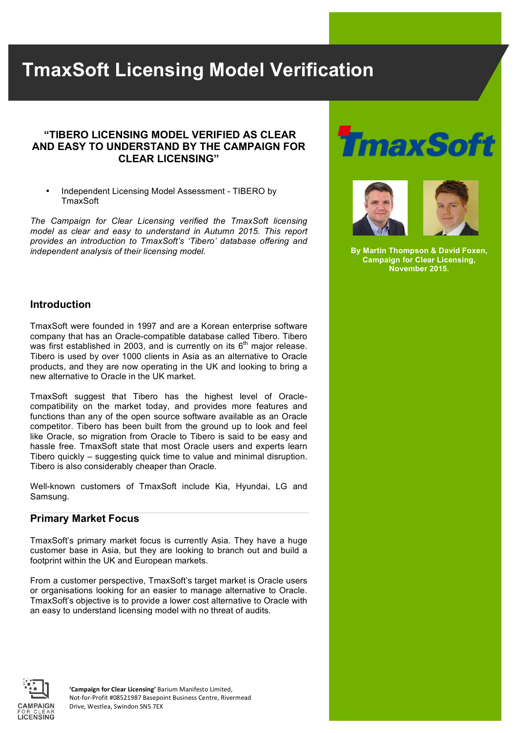# **TmaxSoft Licensing Model Verification**

#### **"TIBERO LICENSING MODEL VERIFIED AS CLEAR AND EASY TO UNDERSTAND BY THE CAMPAIGN FOR CLEAR LICENSING"**

• Independent Licensing Model Assessment - TIBERO by **TmaxSoft** 

*The Campaign for Clear Licensing verified the TmaxSoft licensing model as clear and easy to understand in Autumn 2015. This report provides an introduction to TmaxSoft's 'Tibero' database offering and independent analysis of their licensing model.* 





**By Martin Thompson & David Foxen, Campaign for Clear Licensing, November 2015.**

#### **Introduction**

TmaxSoft were founded in 1997 and are a Korean enterprise software company that has an Oracle-compatible database called Tibero. Tibero was first established in 2003, and is currently on its  $6<sup>th</sup>$  major release. Tibero is used by over 1000 clients in Asia as an alternative to Oracle products, and they are now operating in the UK and looking to bring a new alternative to Oracle in the UK market.

TmaxSoft suggest that Tibero has the highest level of Oraclecompatibility on the market today, and provides more features and functions than any of the open source software available as an Oracle competitor. Tibero has been built from the ground up to look and feel like Oracle, so migration from Oracle to Tibero is said to be easy and hassle free. TmaxSoft state that most Oracle users and experts learn Tibero quickly – suggesting quick time to value and minimal disruption. Tibero is also considerably cheaper than Oracle.

Well-known customers of TmaxSoft include Kia, Hyundai, LG and Samsung.

#### **Primary Market Focus**

TmaxSoft's primary market focus is currently Asia. They have a huge customer base in Asia, but they are looking to branch out and build a footprint within the UK and European markets.

From a customer perspective, TmaxSoft's target market is Oracle users or organisations looking for an easier to manage alternative to Oracle. TmaxSoft's objective is to provide a lower cost alternative to Oracle with an easy to understand licensing model with no threat of audits.



'Campaign for Clear Licensing' Barium Manifesto Limited, Not-for-Profit #08521987 Basepoint Business Centre, Rivermead Drive, Westlea, Swindon SN5 7EX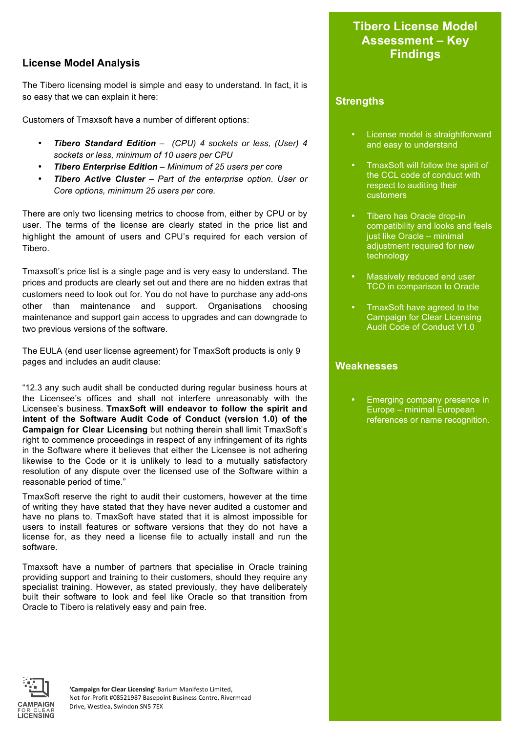## **License Model Analysis**

The Tibero licensing model is simple and easy to understand. In fact, it is so easy that we can explain it here:

Customers of Tmaxsoft have a number of different options:

- *Tibero Standard Edition (CPU) 4 sockets or less, (User) 4 sockets or less, minimum of 10 users per CPU*
- *Tibero Enterprise Edition – Minimum of 25 users per core*
- *Tibero Active Cluster – Part of the enterprise option. User or Core options, minimum 25 users per core.*

There are only two licensing metrics to choose from, either by CPU or by user. The terms of the license are clearly stated in the price list and highlight the amount of users and CPU's required for each version of Tibero.

Tmaxsoft's price list is a single page and is very easy to understand. The prices and products are clearly set out and there are no hidden extras that customers need to look out for. You do not have to purchase any add-ons other than maintenance and support. Organisations choosing maintenance and support gain access to upgrades and can downgrade to two previous versions of the software.

The EULA (end user license agreement) for TmaxSoft products is only 9 pages and includes an audit clause:

"12.3 any such audit shall be conducted during regular business hours at the Licensee's offices and shall not interfere unreasonably with the Licensee's business. **TmaxSoft will endeavor to follow the spirit and intent of the Software Audit Code of Conduct (version 1.0) of the Campaign for Clear Licensing** but nothing therein shall limit TmaxSoft's right to commence proceedings in respect of any infringement of its rights in the Software where it believes that either the Licensee is not adhering likewise to the Code or it is unlikely to lead to a mutually satisfactory resolution of any dispute over the licensed use of the Software within a reasonable period of time."

TmaxSoft reserve the right to audit their customers, however at the time of writing they have stated that they have never audited a customer and have no plans to. TmaxSoft have stated that it is almost impossible for users to install features or software versions that they do not have a license for, as they need a license file to actually install and run the software.

Tmaxsoft have a number of partners that specialise in Oracle training providing support and training to their customers, should they require any specialist training. However, as stated previously, they have deliberately built their software to look and feel like Oracle so that transition from Oracle to Tibero is relatively easy and pain free.

## **Tibero License Model Assessment – Key Findings**

## **Strengths**

- License model is straightforward and easy to understand
- TmaxSoft will follow the spirit of the CCL code of conduct with respect to auditing their customers
- Tibero has Oracle drop-in compatibility and looks and feels just like Oracle – minimal adjustment required for new technology
- Massively reduced end user TCO in comparison to Oracle
- TmaxSoft have agreed to the Campaign for Clear Licensing Audit Code of Conduct V1.0

#### **Weaknesses**

Emerging company presence in Europe – minimal European references or name recognition.